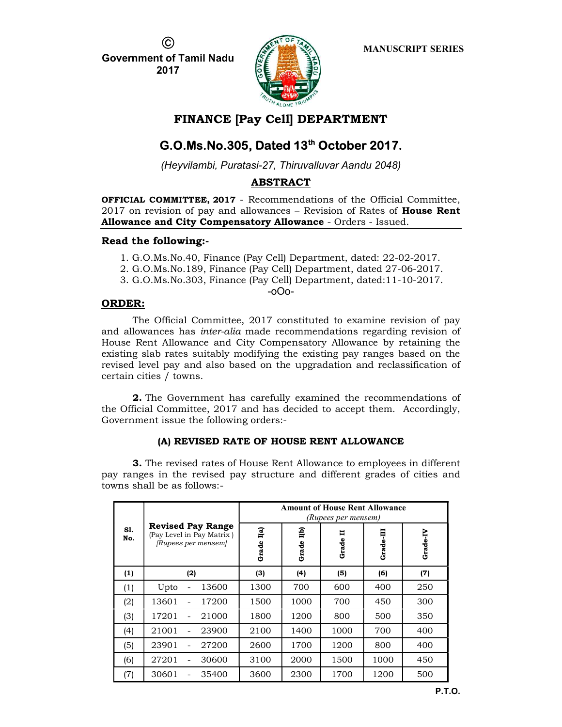C.

Government of Tamil Nadu 2017



# FINANCE [Pay Cell] DEPARTMENT

# G.O.Ms.No.305, Dated 13<sup>th</sup> October 2017.

(Heyvilambi, Puratasi-27, Thiruvalluvar Aandu 2048)

# ABSTRACT

OFFICIAL COMMITTEE, 2017 - Recommendations of the Official Committee,  $2017$  on revision of pay and allowances – Revision of Rates of **House Rent** Allowance and City Compensatory Allowance - Orders - Issued.

# Read the following:-

- 1. G.O.Ms.No.40, Finance (Pay Cell) Department, dated: 22-02-2017.
- 2. G.O.Ms.No.189, Finance (Pay Cell) Department, dated 27-06-2017.
- 3. G.O.Ms.No.303, Finance (Pay Cell) Department, dated:11-10-2017.

-oOo-

# ORDER:

The Official Committee, 2017 constituted to examine revision of pay and allowances has inter-alia made recommendations regarding revision of House Rent Allowance and City Compensatory Allowance by retaining the existing slab rates suitably modifying the existing pay ranges based on the revised level pay and also based on the upgradation and reclassification of certain cities / towns.

2. The Government has carefully examined the recommendations of the Official Committee, 2017 and has decided to accept them. Accordingly, Government issue the following orders:-

# (A) REVISED RATE OF HOUSE RENT ALLOWANCE

3. The revised rates of House Rent Allowance to employees in different pay ranges in the revised pay structure and different grades of cities and towns shall be as follows:-

| S1.<br>No. |                                                                              | <b>Amount of House Rent Allowance</b><br>(Rupees per mensem) |              |                   |           |          |  |
|------------|------------------------------------------------------------------------------|--------------------------------------------------------------|--------------|-------------------|-----------|----------|--|
|            | <b>Revised Pay Range</b><br>(Pay Level in Pay Matrix)<br>[Rupees per mensem] | I(a)<br>Grade                                                | Це)<br>Grade | <b>=</b><br>Grade | Grade-III | Grade-IV |  |
| (1)        | (2)                                                                          | (3)                                                          | (4)          | (5)               | (6)       | (7)      |  |
| (1)        | 13600<br>Upto                                                                | 1300                                                         | 700          | 600               | 400       | 250      |  |
| (2)        | 17200<br>13601                                                               | 1500                                                         | 1000         | 700               | 450       | 300      |  |
| (3)        | 21000<br>17201                                                               | 1800                                                         | 1200         | 800               | 500       | 350      |  |
| (4)        | 21001<br>23900                                                               | 2100                                                         | 1400         | 1000              | 700       | 400      |  |
| (5)        | 27200<br>23901                                                               | 2600                                                         | 1700         | 1200              | 800       | 400      |  |
| (6)        | 27201<br>30600                                                               | 3100                                                         | 2000         | 1500              | 1000      | 450      |  |
| (7)        | 30601<br>35400                                                               | 3600                                                         | 2300         | 1700              | 1200      | 500      |  |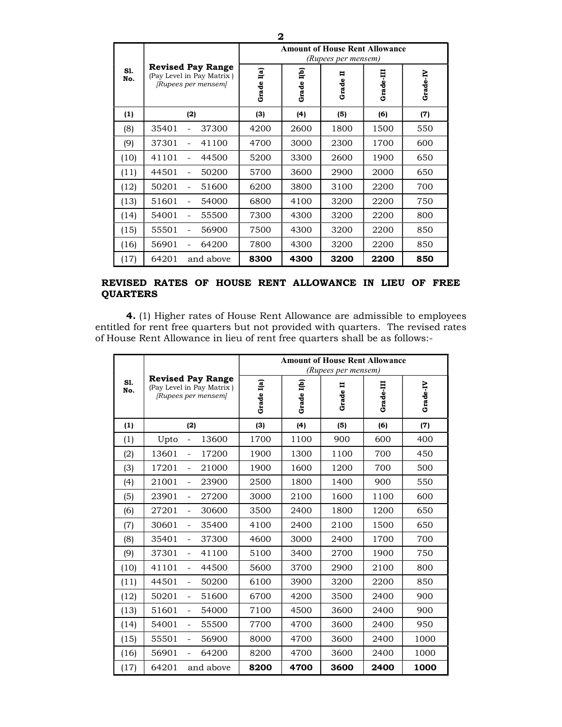|            |                                                                              | <b>Amount of House Rent Allowance</b><br>(Rupees per mensem) |              |            |           |          |
|------------|------------------------------------------------------------------------------|--------------------------------------------------------------|--------------|------------|-----------|----------|
| S1.<br>No. | <b>Revised Pay Range</b><br>(Pay Level in Pay Matrix)<br>[Rupees per mensem] | I(a)<br>Grade                                                | Це)<br>Grade | Ħ<br>Grade | Grade-III | Grade-IV |
| (1)        | (2)                                                                          | (3)                                                          | (4)          | (5)        | (6)       | (7)      |
| (8)        | 35401<br>37300                                                               | 4200                                                         | 2600         | 1800       | 1500      | 550      |
| (9)        | 37301<br>41100                                                               | 4700                                                         | 3000         | 2300       | 1700      | 600      |
| (10)       | 41101<br>44500                                                               | 5200                                                         | 3300         | 2600       | 1900      | 650      |
| (11)       | 44501<br>50200                                                               | 5700                                                         | 3600         | 2900       | 2000      | 650      |
| (12)       | 50201<br>51600                                                               | 6200                                                         | 3800         | 3100       | 2200      | 700      |
| (13)       | 51601<br>54000<br>$\overline{\phantom{a}}$                                   | 6800                                                         | 4100         | 3200       | 2200      | 750      |
| (14)       | 54001<br>55500                                                               | 7300                                                         | 4300         | 3200       | 2200      | 800      |
| (15)       | 55501<br>56900                                                               | 7500                                                         | 4300         | 3200       | 2200      | 850      |
| (16)       | 56901<br>64200                                                               | 7800                                                         | 4300         | 3200       | 2200      | 850      |
| (17)       | 64201<br>and above                                                           | 8300                                                         | 4300         | 3200       | 2200      | 850      |

### REVISED RATES OF HOUSE RENT ALLOWANCE IN LIEU OF FREE **QUARTERS**

4. (1) Higher rates of House Rent Allowance are admissible to employees entitled for rent free quarters but not provided with quarters. The revised rates of House Rent Allowance in lieu of rent free quarters shall be as follows:-

|            |                                                                              | <b>Amount of House Rent Allowance</b><br>(Rupees per mensem) |            |          |           |          |
|------------|------------------------------------------------------------------------------|--------------------------------------------------------------|------------|----------|-----------|----------|
| S1.<br>No. | <b>Revised Pay Range</b><br>(Pay Level in Pay Matrix)<br>[Rupees per mensem] | Grade I(a)                                                   | Grade I(b) | Grade II | Grade-III | Grade-IV |
| (1)        | (2)                                                                          | (3)                                                          | (4)        | (5)      | (6)       | (7)      |
| (1)        | 13600<br>Upto<br>$\overline{\phantom{a}}$                                    | 1700                                                         | 1100       | 900      | 600       | 400      |
| (2)        | 13601<br>17200<br>$\blacksquare$                                             | 1900                                                         | 1300       | 1100     | 700       | 450      |
| (3)        | 17201<br>21000<br>$\blacksquare$                                             | 1900                                                         | 1600       | 1200     | 700       | 500      |
| (4)        | 21001<br>23900<br>$\overline{\phantom{a}}$                                   | 2500                                                         | 1800       | 1400     | 900       | 550      |
| (5)        | 23901<br>27200<br>$\equiv$                                                   | 3000                                                         | 2100       | 1600     | 1100      | 600      |
| (6)        | 27201<br>30600<br>$\blacksquare$                                             | 3500                                                         | 2400       | 1800     | 1200      | 650      |
| (7)        | 30601<br>35400<br>$\blacksquare$                                             | 4100                                                         | 2400       | 2100     | 1500      | 650      |
| (8)        | 35401<br>37300<br>$\overline{\phantom{a}}$                                   | 4600                                                         | 3000       | 2400     | 1700      | 700      |
| (9)        | 37301<br>41100<br>$\blacksquare$                                             | 5100                                                         | 3400       | 2700     | 1900      | 750      |
| (10)       | 41101<br>44500<br>$\blacksquare$                                             | 5600                                                         | 3700       | 2900     | 2100      | 800      |
| (11)       | 44501<br>50200<br>$\overline{\phantom{a}}$                                   | 6100                                                         | 3900       | 3200     | 2200      | 850      |
| (12)       | 50201<br>51600<br>$\blacksquare$                                             | 6700                                                         | 4200       | 3500     | 2400      | 900      |
| (13)       | 51601<br>54000<br>$\blacksquare$                                             | 7100                                                         | 4500       | 3600     | 2400      | 900      |
| (14)       | 54001<br>55500<br>$\overline{\phantom{a}}$                                   | 7700                                                         | 4700       | 3600     | 2400      | 950      |
| (15)       | 55501<br>56900<br>$\blacksquare$                                             | 8000                                                         | 4700       | 3600     | 2400      | 1000     |
| (16)       | 56901<br>64200<br>$\equiv$                                                   | 8200                                                         | 4700       | 3600     | 2400      | 1000     |
| (17)       | 64201<br>and above                                                           | 8200                                                         | 4700       | 3600     | 2400      | 1000     |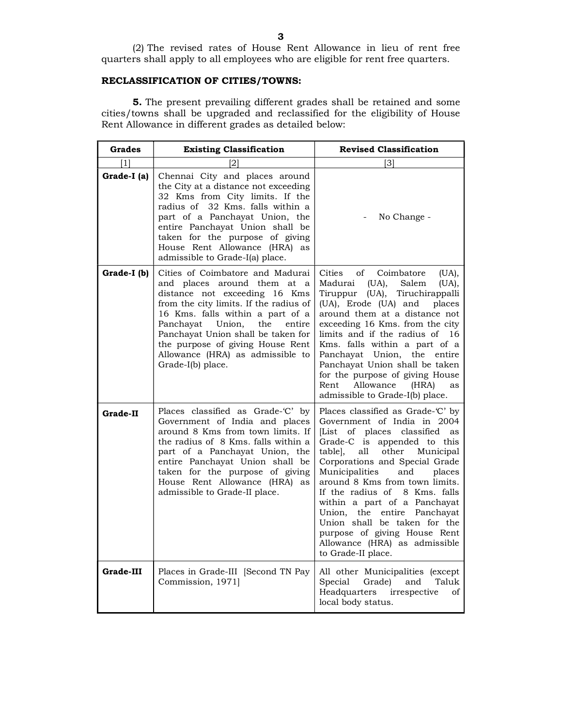#### RECLASSIFICATION OF CITIES/TOWNS:

5. The present prevailing different grades shall be retained and some cities/towns shall be upgraded and reclassified for the eligibility of House Rent Allowance in different grades as detailed below:

| Grades          | <b>Existing Classification</b>                                                                                                                                                                                                                                                                                                                               | <b>Revised Classification</b>                                                                                                                                                                                                                                                                                                                                                                                                                                                                         |  |  |
|-----------------|--------------------------------------------------------------------------------------------------------------------------------------------------------------------------------------------------------------------------------------------------------------------------------------------------------------------------------------------------------------|-------------------------------------------------------------------------------------------------------------------------------------------------------------------------------------------------------------------------------------------------------------------------------------------------------------------------------------------------------------------------------------------------------------------------------------------------------------------------------------------------------|--|--|
| [1]             |                                                                                                                                                                                                                                                                                                                                                              | [3]                                                                                                                                                                                                                                                                                                                                                                                                                                                                                                   |  |  |
| Grade-I (a)     | Chennai City and places around<br>the City at a distance not exceeding<br>32 Kms from City limits. If the<br>radius of 32 Kms, falls within a<br>part of a Panchayat Union, the<br>entire Panchayat Union shall be<br>taken for the purpose of giving<br>House Rent Allowance (HRA) as<br>admissible to Grade-I(a) place.                                    | No Change -                                                                                                                                                                                                                                                                                                                                                                                                                                                                                           |  |  |
| Grade-I (b)     | Cities of Coimbatore and Madurai<br>and places around them at<br>a<br>distance not exceeding 16 Kms<br>from the city limits. If the radius of<br>16 Kms. falls within a part of a<br>Union,<br>the<br>Panchayat<br>entire<br>Panchayat Union shall be taken for<br>the purpose of giving House Rent<br>Allowance (HRA) as admissible to<br>Grade-I(b) place. | of<br>Coimbatore<br>Cities<br>(UA),<br>Madurai<br>(UA),<br>Salem<br>(UA),<br>Tiruppur (UA), Tiruchirappalli<br>(UA), Erode (UA) and<br>places<br>around them at a distance not<br>exceeding 16 Kms. from the city<br>limits and if the radius of 16<br>Kms. falls within a part of a<br>Panchayat Union, the entire<br>Panchayat Union shall be taken<br>for the purpose of giving House<br>Allowance (HRA)<br>Rent<br>as<br>admissible to Grade-I(b) place.                                          |  |  |
| <b>Grade-II</b> | Places classified as Grade-'C' by<br>Government of India and places<br>around 8 Kms from town limits. If<br>the radius of 8 Kms, falls within a<br>part of a Panchayat Union, the<br>entire Panchayat Union shall be<br>taken for the purpose of giving<br>House Rent Allowance (HRA) as<br>admissible to Grade-II place.                                    | Places classified as Grade-'C' by<br>Government of India in 2004<br>[List of places classified<br>as<br>Grade-C is appended to this<br>table, all<br>other<br>Municipal<br>Corporations and Special Grade<br>Municipalities<br>and<br>places<br>around 8 Kms from town limits.<br>If the radius of 8 Kms, falls<br>within a part of a Panchayat<br>Union, the entire Panchayat<br>Union shall be taken for the<br>purpose of giving House Rent<br>Allowance (HRA) as admissible<br>to Grade-II place. |  |  |
| Grade-III       | Places in Grade-III [Second TN Pay<br>Commission, 1971]                                                                                                                                                                                                                                                                                                      | All other Municipalities (except<br>Special<br>Taluk<br>Grade)<br>and<br>Headquarters<br>irrespective<br>οf<br>local body status.                                                                                                                                                                                                                                                                                                                                                                     |  |  |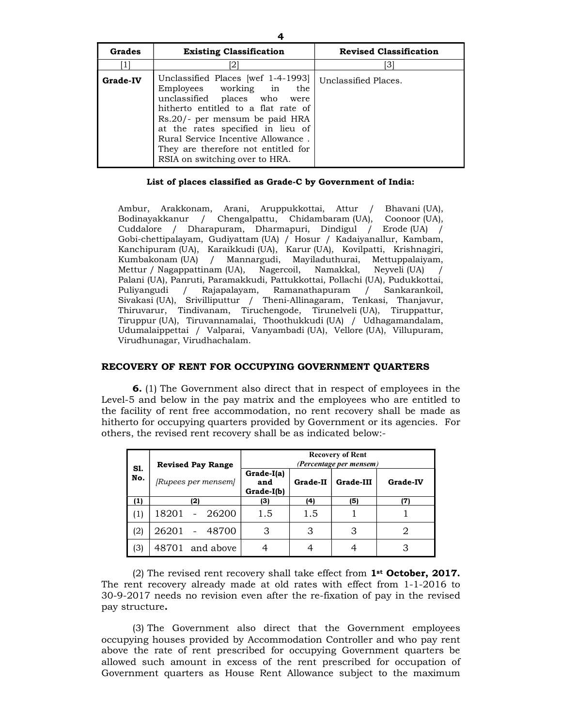| Grades          | <b>Existing Classification</b>                                                                                                                                                                                                                                                                                              | <b>Revised Classification</b> |
|-----------------|-----------------------------------------------------------------------------------------------------------------------------------------------------------------------------------------------------------------------------------------------------------------------------------------------------------------------------|-------------------------------|
|                 | [2]                                                                                                                                                                                                                                                                                                                         | 31                            |
| <b>Grade-IV</b> | Unclassified Places [wef 1-4-1993]<br>Employees working in the<br>unclassified places who were<br>hitherto entitled to a flat rate of<br>Rs.20/- per mensum be paid HRA<br>at the rates specified in lieu of<br>Rural Service Incentive Allowance.<br>They are therefore not entitled for<br>RSIA on switching over to HRA. | Unclassified Places.          |

#### List of places classified as Grade-C by Government of India:

Ambur, Arakkonam, Arani, Aruppukkottai, Attur / Bhavani (UA), Bodinayakkanur / Chengalpattu, Chidambaram (UA), Coonoor (UA), Cuddalore / Dharapuram, Dharmapuri, Dindigul / Erode (UA) / Gobi-chettipalayam, Gudiyattam (UA) / Hosur / Kadaiyanallur, Kambam, Kanchipuram (UA), Karaikkudi (UA), Karur (UA), Kovilpatti, Krishnagiri, Kumbakonam (UA) / Mannargudi, Mayiladuthurai, Mettuppalaiyam, Mettur / Nagappattinam (UA), Nagercoil, Namakkal, Neyveli (UA) / Palani (UA), Panruti, Paramakkudi, Pattukkottai, Pollachi (UA), Pudukkottai, Puliyangudi / Rajapalayam, Ramanathapuram / Sankarankoil, Sivakasi (UA), Srivilliputtur / Theni-Allinagaram, Tenkasi, Thanjavur, Thiruvarur, Tindivanam, Tiruchengode, Tirunelveli (UA), Tiruppattur, Tiruppur (UA), Tiruvannamalai, Thoothukkudi (UA) / Udhagamandalam, Udumalaippettai / Valparai, Vanyambadi (UA), Vellore (UA), Villupuram, Virudhunagar, Virudhachalam.

#### RECOVERY OF RENT FOR OCCUPYING GOVERNMENT QUARTERS

6. (1) The Government also direct that in respect of employees in the Level-5 and below in the pay matrix and the employees who are entitled to the facility of rent free accommodation, no rent recovery shall be made as hitherto for occupying quarters provided by Government or its agencies. For others, the revised rent recovery shall be as indicated below:-

| S1. | <b>Revised Pay Range</b> | <b>Recovery of Rent</b><br>(Percentage per mensem) |          |           |                 |  |
|-----|--------------------------|----------------------------------------------------|----------|-----------|-----------------|--|
| No. | [Rupees per mensem]      | Grade-I(a)<br>and<br>Grade-I(b)                    | Grade-II | Grade-III | <b>Grade-IV</b> |  |
| (1) | (2)                      | (3)                                                | (4)      | (5)       | (7)             |  |
| (1) | 26200<br>18201           | 1.5                                                | 1.5      |           |                 |  |
| (2) | 26201<br>48700           | 3                                                  | З        |           |                 |  |
| (3) | 48701 and above          |                                                    |          |           |                 |  |

(2) The revised rent recovery shall take effect from  $1<sup>st</sup>$  October, 2017. The rent recovery already made at old rates with effect from 1-1-2016 to 30-9-2017 needs no revision even after the re-fixation of pay in the revised pay structure.

(3) The Government also direct that the Government employees occupying houses provided by Accommodation Controller and who pay rent above the rate of rent prescribed for occupying Government quarters be allowed such amount in excess of the rent prescribed for occupation of Government quarters as House Rent Allowance subject to the maximum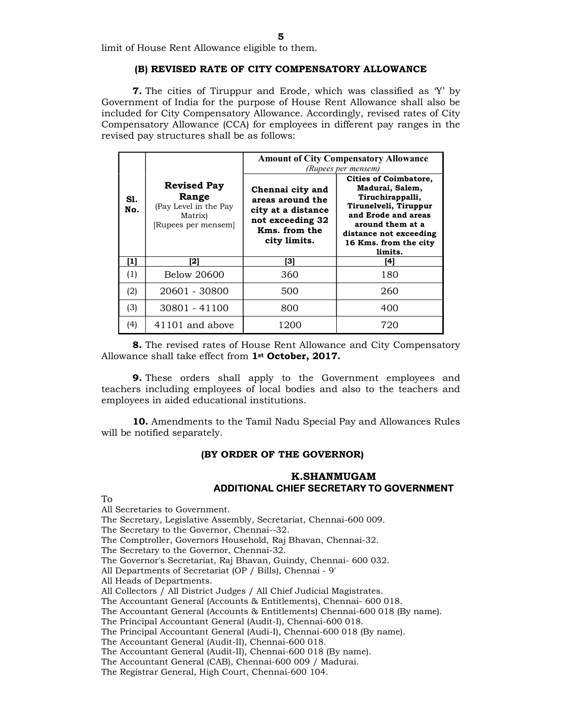limit of House Rent Allowance eligible to them.

#### (B) REVISED RATE OF CITY COMPENSATORY ALLOWANCE

7. The cities of Tiruppur and Erode, which was classified as 'Y' by Government of India for the purpose of House Rent Allowance shall also be included for City Compensatory Allowance. Accordingly, revised rates of City Compensatory Allowance (CCA) for employees in different pay ranges in the revised pay structures shall be as follows:

|                                                                                                      |                 | <b>Amount of City Compensatory Allowance</b><br>(Rupees per mensem)                                             |                                                                                                                                                                                                       |  |  |
|------------------------------------------------------------------------------------------------------|-----------------|-----------------------------------------------------------------------------------------------------------------|-------------------------------------------------------------------------------------------------------------------------------------------------------------------------------------------------------|--|--|
| <b>Revised Pay</b><br>Range<br>Sl.<br>(Pay Level in the Pay<br>No.<br>Matrix)<br>[Rupees per mensem] |                 | Chennai city and<br>areas around the<br>city at a distance<br>not exceeding 32<br>Kms. from the<br>city limits. | <b>Cities of Coimbatore,</b><br>Madurai, Salem,<br>Tiruchirappalli,<br>Tirunelveli, Tiruppur<br>and Erode and areas<br>around them at a<br>distance not exceeding<br>16 Kms. from the city<br>limits. |  |  |
| [1]                                                                                                  | [2]             | [3]                                                                                                             | [4]                                                                                                                                                                                                   |  |  |
| (1)                                                                                                  | Below 20600     | 360                                                                                                             | 180                                                                                                                                                                                                   |  |  |
| (2)                                                                                                  | 20601 - 30800   | 500                                                                                                             | 260                                                                                                                                                                                                   |  |  |
| (3)                                                                                                  | 30801 - 41100   | 800                                                                                                             | 400                                                                                                                                                                                                   |  |  |
| (4)                                                                                                  | 41101 and above | 1200                                                                                                            | 720                                                                                                                                                                                                   |  |  |

8. The revised rates of House Rent Allowance and City Compensatory Allowance shall take effect from 1<sup>st</sup> October, 2017.

9. These orders shall apply to the Government employees and teachers including employees of local bodies and also to the teachers and employees in aided educational institutions.

10. Amendments to the Tamil Nadu Special Pay and Allowances Rules will be notified separately.

#### (BY ORDER OF THE GOVERNOR)

#### K.SHANMUGAM ADDITIONAL CHIEF SECRETARY TO GOVERNMENT

To

All Secretaries to Government.

The Secretary, Legislative Assembly, Secretariat, Chennai-600 009.

The Secretary to the Governor, Chennai--32.

The Comptroller, Governors Household, Raj Bhavan, Chennai-32.

The Secretary to the Governor, Chennai-32.

The Governor's Secretariat, Raj Bhavan, Guindy, Chennai- 600 032.

All Departments of Secretariat (OP / Bills), Chennai - 9'

All Heads of Departments.

All Collectors / All District Judges / All Chief Judicial Magistrates.

The Accountant General (Accounts & Entitlements), Chennai- 600 018.

The Accountant General (Accounts & Entitlements) Chennai-600 018 (By name).

The Principal Accountant General (Audit-I), Chennai-600 018.

The Principal Accountant General (Audi-I), Chennai-600 018 (By name).

The Accountant General (Audit-II), Chennai-600 018.

The Accountant General (Audit-II), Chennai-600 018 (By name).

The Accountant General (CAB), Chennai-600 009 / Madurai.

The Registrar General, High Court, Chennai-600 104.